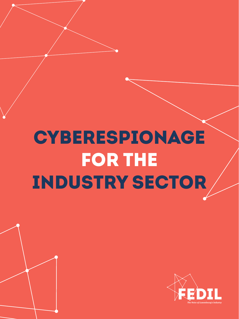

# CYBERESPIONAGE FOR THE INDUSTRY SECTOR



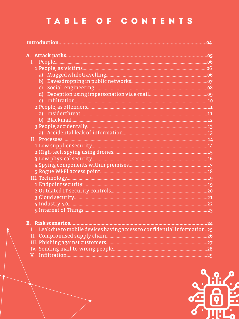### TABLE OF CONTENTS

| r Intornat of Things | nn. |
|----------------------|-----|

| I. Leak due to mobile devices having access to confidential information25 |  |
|---------------------------------------------------------------------------|--|
|                                                                           |  |
|                                                                           |  |
|                                                                           |  |
|                                                                           |  |

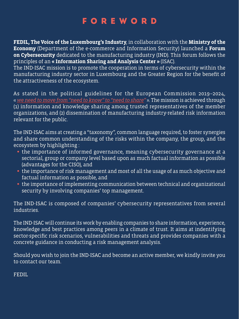**FEDIL, The Voice of the Luxembourg's Industry**, in collaboration with the **Ministry of the Economy** (Department of the e-commerce and Information Security) launched a **Forum on Cybersecurity** dedicated to the manufacturing industry (IND). This forum follows the principles of an **« Information Sharing and Analysis Center »** (ISAC). The IND-ISAC mission is to promote the cooperation in terms of cybersecurity within the manufacturing industry sector in Luxembourg and the Greater Region for the benefit of the attractiveness of the ecosystem.

As stated in the political guidelines for the European Commission 2019–2024, « *we need to move from "need to know" to "need to share"* ». The mission is achieved through (1) information and knowledge sharing among trusted representatives of the member organizations, and (2) dissemination of manufacturing industry-related risk information relevant for the public.

The IND-ISAC aims at creating a "taxonomy", common language required, to foster synergies and share common understanding of the risks within the company, the group, and the ecosystem by highlighting :

- **•** the importance of informed governance, meaning cybersecurity governance at a sectorial, group or company level based upon as much factual information as possible (advantages for the CISO), and
- **•** the importance of risk management and most of all the usage of as much objective and factual information as possible, and
- **•** the importance of implementing communication between technical and organizational security by involving companies' top management.

The IND-ISAC is composed of companies' cybersecurity representatives from several industries.

The IND-ISAC will continue its work by enabling companies to share information, experience, knowledge and best practices among peers in a climate of trust. It aims at indentifying sector-specific risk scenarios, vulnerabilities and threats and provides companies with a concrete guidance in conducting a risk management analysis.

Should you wish to join the IND-ISAC and become an active member, we kindly invite you to contact our team.

FEDIL

### FOREWORD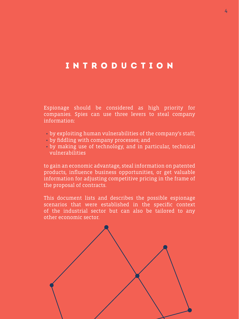INTRODUCTION

Espionage should be considered as high priority for companies. Spies can use three levers to steal company information:

- by exploiting human vulnerabilities of the company's staff;
- by fiddling with company processes; and
- by making use of technology, and in particular, technical vulnerabilities

4 4

to gain an economic advantage, steal information on patented products, influence business opportunities, or get valuable information for adjusting competitive pricing in the frame of the proposal of contracts.

This document lists and describes the possible espionage scenarios that were established in the specific context of the industrial sector but can also be tailored to any other economic sector.

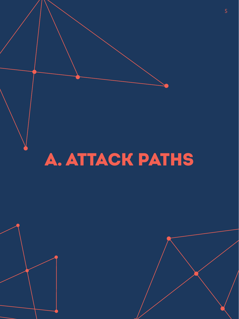

# A. ATTACK PATHS

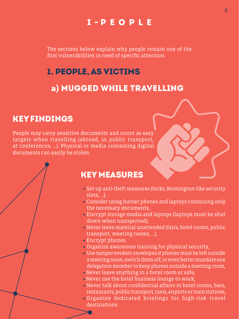### I - PEOPLE

### KEY FINDINGS

People may carry sensitive documents and count as easy targets when travelling (abroad, in public transport, at conferences, …). Physical or media containing digital documents can easily be stolen.

6 6

### 1. PEOPLE, AS VICTIMS

a**)** MUGGED WHILE TRAVELLING



### KEY MEASURES

- **•** Set-up anti-theft measures (locks, Kensington-like security slots, …),
- **•** Consider using burner phones and laptops containing only the necessary documents, **•** Encrypt storage media and laptops (laptops must be shut down when transported),
- **•** Never leave material unattended (fairs, hotel rooms, public transport, meeting rooms, …),
- **•** Encrypt phones,
- **•** Organize awareness training for physical security,
- **•** Use tamper-evident envelopes if phones must be left outside a meeting room, switch them off, or even better mandate one delegation member to keep phones outside a meeting room,
- Never leave anything in a hotel room or safe,
- Never use the hotel business lounge to work,
- **•** Never talk about confidential affairs in hotel rooms, bars, restaurants, public transport, taxis, airports or train stations, **•** Organize dedicated briefings for high-risk travel destinations.

The sections below explain why people remain one of the first vulnerabilities in need of specific attention.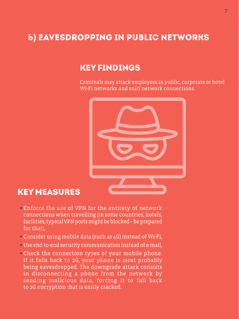7

### b**)** Eavesdropping in public networks

### KEY FINDINGS

Criminals may attack employees in public, corporate or hotel Wi-Fi networks and sniff network connections.

7



**•** Enforce the use of VPN for the entirety of network

connections when travelling (in some countries, hotels, facilities, typical VPN ports might be blocked – be prepared for that),

- **•** Consider using mobile data (such as 4G) instead of Wi-Fi,
- **•** Use end-to-end security communication instead of e-mail,
- **•** Check the connection types of your mobile phone. If it falls back to 2G, your phone is most probably being eavesdropped. The downgrade attack consists in disconnecting a phone from the network by sending malicious data, forcing it to fall back to 2G encryption that is easily cracked.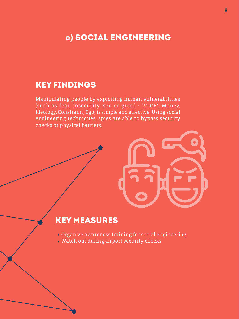### c**)** Social engineering

### KEY FINDINGS

Manipulating people by exploiting human vulnerabilities (such as fear, insecurity, sex or greed - 'MICE': Money, Ideology, Constraint, Ego) is simple and effective. Using social engineering techniques, spies are able to bypass security checks or physical barriers.

- **•** Organize awareness training for social engineering,
- **•** Watch out during airport security checks.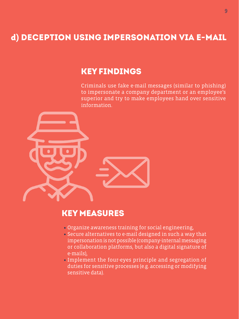### d**)** Deception using impersonation via e-mail

### KEY FINDINGS

Criminals use fake e-mail messages (similar to phishing) to impersonate a company department or an employee's superior and try to make employees hand over sensitive

information.



- **•** Organize awareness training for social engineering,
- **•** Secure alternatives to e-mail designed in such a way that impersonation is not possible (company-internal messaging or collaboration platforms, but also a digital signature of e-mails),
- **•** Implement the four-eyes principle and segregation of duties for sensitive processes (e.g. accessing or modifying sensitive data).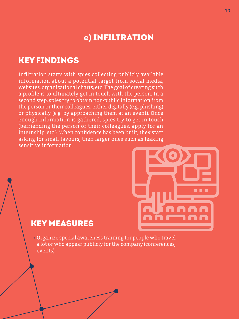### e**)** Infiltration

### KEY FINDINGS

Infiltration starts with spies collecting publicly available information about a potential target from social media, websites, organizational charts, etc. The goal of creating such a profile is to ultimately get in touch with the person. In a second step, spies try to obtain non-public information from the person or their colleagues, either digitally (e.g. phishing) or physically (e.g. by approaching them at an event). Once enough information is gathered, spies try to get in touch (befriending the person or their colleagues, apply for an internship, etc.). When confidence has been built, they start asking for small favours, then larger ones such as leaking sensitive information.



### KEY MEASURES

### -------- $\blacksquare$

**•** Organize special awareness training for people who travel a lot or who appear publicly for the company (conferences, events).

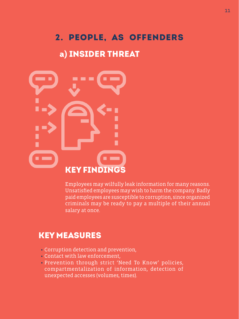# 2. PEOPLE, AS OFFENDERS

a**)** INSIDER THREAT



# KEY FINDINGS

Employees may wilfully leak information for many reasons. Unsatisfied employees may wish to harm the company. Badly paid employees are susceptible to corruption, since organized criminals may be ready to pay a multiple of their annual 11 11

salary at once.

- **•** Corruption detection and prevention,
- **•** Contact with law enforcement,
- Prevention through strict 'Need To Know' policies, compartmentalization of information, detection of unexpected accesses (volumes, times).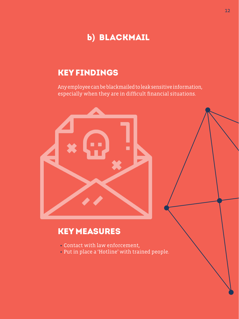### b**)** Blackmail

### KEY FINDINGS

Any employee can be blackmailed to leak sensitive information, especially when they are in difficult financial situations.



- **•** Contact with law enforcement,
- **•** Put in place a 'Hotline' with trained people.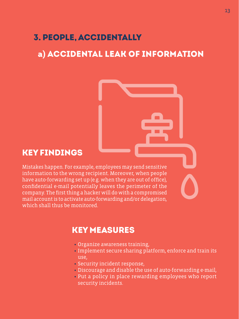### 3. PEOPLE, ACCIDENTALLY

### a**)** ACCIDENTAL LEAK OF INFORMATION



### KEY FINDINGS

Mistakes happen. For example, employees may send sensitive information to the wrong recipient. Moreover, when people have auto-forwarding set up (e.g. when they are out of office), confidential e-mail potentially leaves the perimeter of the company. The first thing a hacker will do with a compromised mail account is to activate auto-forwarding and/or delegation, which shall thus be monitored.

- **•** Organize awareness training,
- **•** Implement secure sharing platform, enforce and train its use,
- **•** Security incident response,
- **•** Discourage and disable the use of auto-forwarding e-mail,
- **•** Put a policy in place rewarding employees who report security incidents.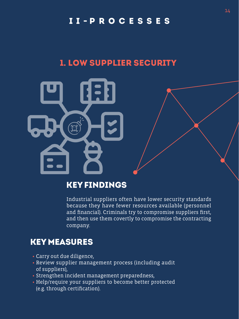### I I - PROCESSES

14 14



### 1. LOW SUPPLIER SECURITY



### KEY FINDINGS

Industrial suppliers often have lower security standards because they have fewer resources available (personnel and financial). Criminals try to compromise suppliers first, and then use them covertly to compromise the contracting company.

- **•** Carry out due diligence,
- **•** Review supplier management process (including audit of suppliers),
- **•** Strengthen incident management preparedness,
- **•** Help/require your suppliers to become better protected (e.g. through certification).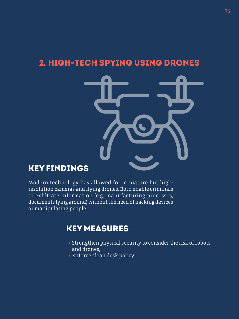### KEY FINDINGS

Modern technology has allowed for miniature but highresolution cameras and flying drones. Both enable criminals to exfiltrate information (e.g. manufacturing processes, documents lying around) without the need of hacking devices or manipulating people.

### KEY MEASURES

**•** Strengthen physical security to consider the risk of robots and drones,

**•** Enforce clean desk policy.

### 2. High-tech spying using drones

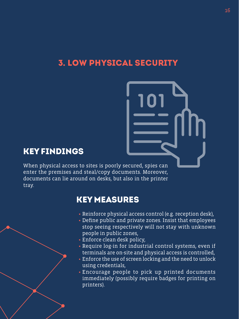

### 3. Low physical security

16 16

### KEY FINDINGS

When physical access to sites is poorly secured, spies can enter the premises and steal/copy documents. Moreover, documents can lie around on desks, but also in the printer tray.

- **•** Reinforce physical access control (e.g. reception desk), **•** Define public and private zones. Insist that employees stop seeing respectively will not stay with unknown people in public zones,
- **•** Enforce clean desk policy,
- **•** Require log-in for industrial control systems, even if terminals are on-site and physical access is controlled,
- **•** Enforce the use of screen locking and the need to unlock using credentials,
- **•** Encourage people to pick up printed documents immediately (possibly require badges for printing on printers).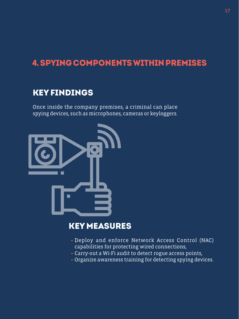### 4. Spying components within premiseS

### KEY FINDINGS

Once inside the company premises, a criminal can place spying devices, such as microphones, cameras or keyloggers.



### KEY MEASURES

17 17

- **•** Deploy and enforce Network Access Control (NAC) capabilities for protecting wired connections,
- **•** Carry-out a Wi-Fi audit to detect rogue access points,
- **•** Organize awareness training for detecting spying devices.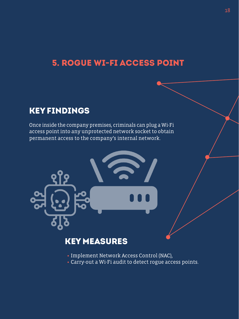### 5. Rogue Wi-Fi access point



### KEY FINDINGS

Once inside the company premises, criminals can plug a Wi-Fi access point into any unprotected network socket to obtain permanent access to the company's internal network.







### KEY MEASURES

**•** Implement Network Access Control (NAC), **•** Carry-out a Wi-Fi audit to detect rogue access points.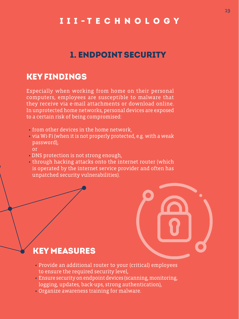### 1. ENDPOINT SECURITY

### III - TECHNOLOGY

### KEY FINDINGS

Especially when working from home on their personal computers, employees are susceptible to malware that they receive via e-mail attachments or download online. In unprotected home networks, personal devices are exposed to a certain risk of being compromised:

- **•** from other devices in the home network,
- **•** via Wi-Fi (when it is not properly protected, e.g. with a weak password),
	- or
- **•** DNS protection is not strong enough, **•** through hacking attacks onto the internet router (which is operated by the internet service provider and often has unpatched security vulnerabilities).

- **•** Provide an additional router to your (critical) employees to ensure the required security level,
- **•** Ensure security on endpoint devices (scanning, monitoring, logging, updates, back-ups, strong authentication),
- **•** Organize awareness training for malware.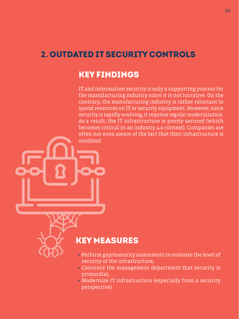### 2. OUTDATED IT SECURITY CONTROLS

### KEY FINDINGS

IT and information security is only a supporting process for the manufacturing industry since it is not lucrative. On the contrary, the manufacturing industry is rather reluctant to

spend resources on IT or security equipment. However, since security is rapidly evolving, it requires regular modernization. As a result, the IT infrastructure is poorly secured (which becomes critical in an industry 4.0 context). Companies are often not even aware of the fact that their infrastructure is outdated.

- **•** Perform gap/maturity assessment to evaluate the level of security of the infrastructure,
- **•** Convince the management department that security is primordial,
- **•** Modernize IT infrastructure (especially from a security perspective).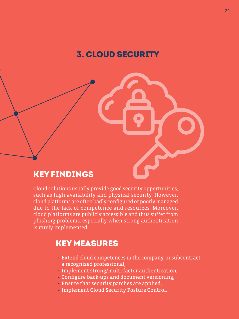

### KEY FINDINGS

Cloud solutions usually provide good security opportunities, such as high availability and physical security. However, cloud platforms are often badly configured or poorly managed due to the lack of competence and resources. Moreover, cloud platforms are publicly accessible and thus suffer from phishing problems, especially when strong authentication is rarely implemented.

- Extend cloud competences in the company, or subcontract a recognized professional,
- Implement strong/multi-factor authentication,
- Configure back-ups and document versioning,
- Ensure that security patches are applied,
- Implement Cloud Security Posture Control.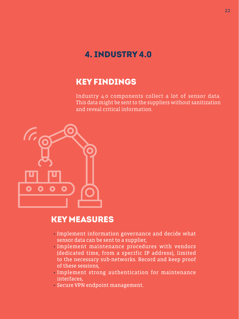### 4. INDUSTRY 4.0

### KEY FINDINGS

Industry 4.0 components collect a lot of sensor data. This data might be sent to the suppliers without sanitization and reveal critical information.



- Implement information governance and decide what sensor data can be sent to a supplier,
- Implement maintenance procedures with vendors (dedicated time, from a specific IP address), limited to the necessary sub-networks. Record and keep proof of these sessions,
- Implement strong authentication for maintenance interfaces,
- Secure VPN endpoint management.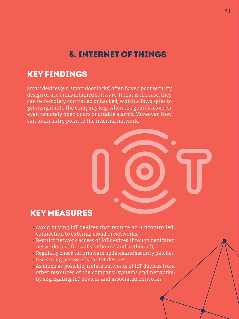### 5. INTERNET OF THINGS

### KEY FINDINGS

Smart devices (e.g. smart door locks) often have a poor security design or use unmaintained software. If that is the case, they can be remotely controlled or hacked, which allows spies to get insight into the company (e.g. when the guards leave) or even remotely open doors or disable alarms. Moreover, they can be an entry point to the internal network.



- Avoid buying IoT devices that require an (uncontrolled) connection to external cloud or networks,
- Restrict network access of IoT devices through dedicated networks and firewalls (inbound and outbound),
- Regularly check for firmware updates and security patches,
- Use strong passwords for IoT devices,
- As much as possible, isolate networks of IoT devices from other resources of the company (systems and networks) by segregating IoT devices and associated networks.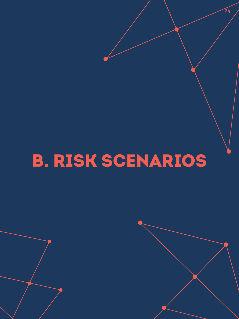

## B. RISK SCENARIOS

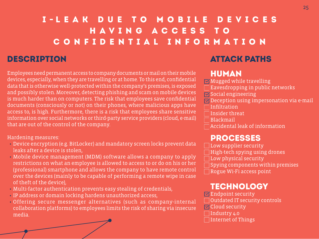Employees need permanent access to company documents or mail on their mobile devices, especially, when they are travelling or at home. To this end, confidential data that is otherwise well-protected within the company's premises, is exposed and possibly stolen. Moreover, detecting phishing and scam on mobile devices is much harder than on computers. The risk that employees save confidential documents (consciously or not) on their phones, where malicious apps have access to, is high. Furthermore, there is a risk that employees share sensitive information over social networks or third-party service providers (cloud, e-mail) that are out of the control of the company.

Hardening measures:

**MEndpoint security** Outdated IT security controls **M** Cloud security Industry 4.0 Internet of Things

**Low supplier security** High-tech spying using drones Low physical security Spying components within premises Rogue Wi-Fi access point

### I - LEAK DUE TO MOBILE DEVICES HAVING ACCESS TO CONFIDENTIAL INFORMATION DESCRIPTION ATTACK PATHS

- Device encryption (e.g. BitLocker) and mandatory screen locks prevent data leaks after a device is stolen,
- Mobile device management (MDM) software allows a company to apply restrictions on what an employee is allowed to access to or do on his or her (professional) smartphone and allows the company to have remote control over the devices (mainly to be capable of performing a remote wipe in case of theft of the device),
- Multi-factor authentication prevents easy stealing of credentials,
- IP address or domain locking hardens unauthorized access,
- Offering secure messenger alternatives (such as company-internal collaboration platforms) to employees limits the risk of sharing via insecure media.



### TECHNOLOGY

### PROCESSES

### HUMAN

Mugged while travelling Eavesdropping in public networks Social engineering **Deception using impersonation via e-mail** Infiltration Insider threat Blackmail Accidental leak of information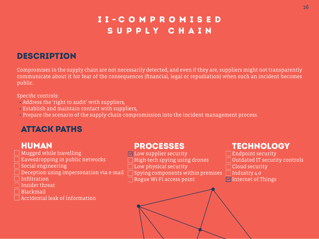### I I - COMPROMISED SUPPLY CHAIN



### DESCRIPTION

Compromises in the supply chain are not necessarily detected, and even if they are, suppliers might not transparently communicate about it for fear of the consequences (financial, legal or repudiation) when such an incident becomes public.

Specific controls:

- Address the 'right to audit' with suppliers,
- Establish and maintain contact with suppliers,
- 

TECHNOLOGY Endpoint security

Outdated IT security controls Cloud security Industry 4.0 **MInternet of Things** 

• Prepare the scenario of the supply-chain compromission into the incident management process.

### ATTACK PATHS

### HUMAN

Mugged while travelling Eavesdropping in public networks Social engineering  $\Box$  Deception using impersonation via e-mail Infiltration Insider threat Blackmail Accidental leak of information

### PROCESSES

Low supplier security High-tech spying using drones Low physical security Spying components within premises Rogue Wi-Fi access point

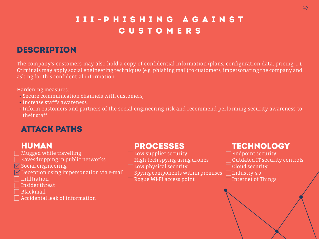### III - PHISHING AGAINST CUSTOMERS

### DESCRIPTION

The company's customers may also hold a copy of confidential information (plans, configuration data, pricing, …). Criminals may apply social engineering techniques (e.g. phishing mail) to customers, impersonating the company and asking for this confidential information.

Hardening measures:

- Secure communication channels with customers,
- Increase staff's awareness,
- their staff.

• Inform customers and partners of the social engineering risk and recommend performing security awareness to

| י<br>( |          |  |
|--------|----------|--|
|        | a e-mail |  |

**Low supplier security** High-tech spying using drones Low physical security Spying components within premises Rogue Wi-Fi access point

### ATTACK PATHS

### HUMAN

Mugged while travelling Eavesdropping in public networks **M** Social engineering  $\blacksquare$  Deception using impersonation via Infiltration Insider threat Blackmail Accidental leak of information

### TECHNOLOGY

Endpoint security Outdated IT security controls Cloud security Industry 4.0 Internet of Things

### PROCESSES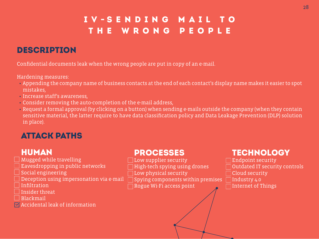### I V - SENDING MAIL TO THE WRONG PEOPLE

### DESCRIPTION

Confidential documents leak when the wrong people are put in copy of an e-mail.

Hardening measures:

• Appending the company name of business contacts at the end of each contact's display name makes it easier to spot

Mugged while travelling Eavesdropping in public networks Social engineering  $\Box$  Deception using impersonation via **Infiltration** Insider threat Blackmail **M** Accidental leak of information

- mistakes,
- Increase staff's awareness,
- Consider removing the auto-completion of the e-mail address,
- in place).

 $\Box$  Endpoint security Outdated IT security controls Cloud security Industry 4.0 Internet of Things

• Request a formal approval (by clicking on a button) when sending e-mails outside the company (when they contain sensitive material, the latter require to have data classification policy and Data Leakage Prevention (DLP) solution

| a e-mail |  |
|----------|--|

### ATTACK PATHS

### HUMAN

### TECHNOLOGY

### PROCESSES

Low supplier security High-tech spying using drones Low physical security Spying components within premises Rogue Wi-Fi access point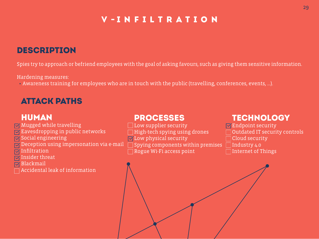### V - INFILTRATION



### DESCRIPTION

Spies try to approach or befriend employees with the goal of asking favours, such as giving them sensitive information.

Hardening measures:

• Awareness training for employees who are in touch with the public (travelling, conferences, events, …).

### ATTACK PATHS

### HUMAN

**MEndpoint security** Outdated IT security controls Cloud security Internet of Things

Spying components within premises  $\Box$  Industry 4.0 **Low supplier security** High-tech spying using drones Low physical security Rogue Wi-Fi access point



Mugged while travelling Eavesdropping in public networks Social engineering **M** Deception using impersonation via e-mail Infiltration Insider threat Blackmail Accidental leak of information

### TECHNOLOGY